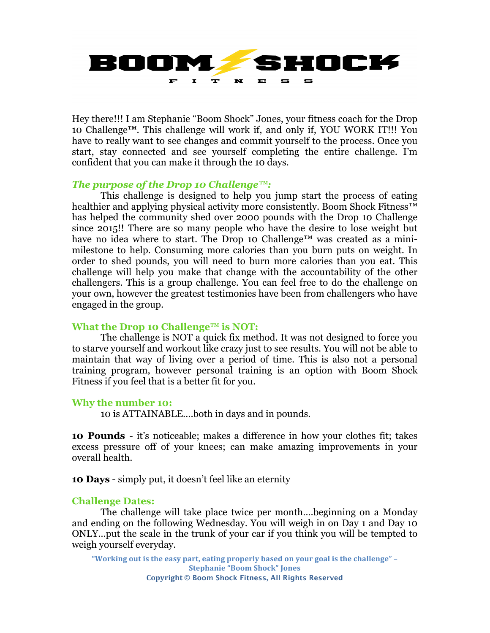

Hey there!!! I am Stephanie "Boom Shock" Jones, your fitness coach for the Drop 10 Challenge**™**. This challenge will work if, and only if, YOU WORK IT!!! You have to really want to see changes and commit yourself to the process. Once you start, stay connected and see yourself completing the entire challenge. I'm confident that you can make it through the 10 days.

# *The purpose of the Drop 10 Challenge™:*

This challenge is designed to help you jump start the process of eating healthier and applying physical activity more consistently. Boom Shock Fitness™ has helped the community shed over 2000 pounds with the Drop 10 Challenge since 2015!! There are so many people who have the desire to lose weight but have no idea where to start. The Drop 10 Challenge<sup>™</sup> was created as a minimilestone to help. Consuming more calories than you burn puts on weight. In order to shed pounds, you will need to burn more calories than you eat. This challenge will help you make that change with the accountability of the other challengers. This is a group challenge. You can feel free to do the challenge on your own, however the greatest testimonies have been from challengers who have engaged in the group.

## **What the Drop 10 Challenge™ is NOT:**

The challenge is NOT a quick fix method. It was not designed to force you to starve yourself and workout like crazy just to see results. You will not be able to maintain that way of living over a period of time. This is also not a personal training program, however personal training is an option with Boom Shock Fitness if you feel that is a better fit for you.

## **Why the number 10:**

10 is ATTAINABLE….both in days and in pounds.

**10 Pounds** - it's noticeable; makes a difference in how your clothes fit; takes excess pressure off of your knees; can make amazing improvements in your overall health.

**10 Days** - simply put, it doesn't feel like an eternity

## **Challenge Dates:**

The challenge will take place twice per month….beginning on a Monday and ending on the following Wednesday. You will weigh in on Day 1 and Day 10 ONLY…put the scale in the trunk of your car if you think you will be tempted to weigh yourself everyday.

"Working out is the easy part, eating properly based on your goal is the challenge" -**Stephanie "Boom Shock" Jones Copyright © Boom Shock Fitness, All Rights Reserved**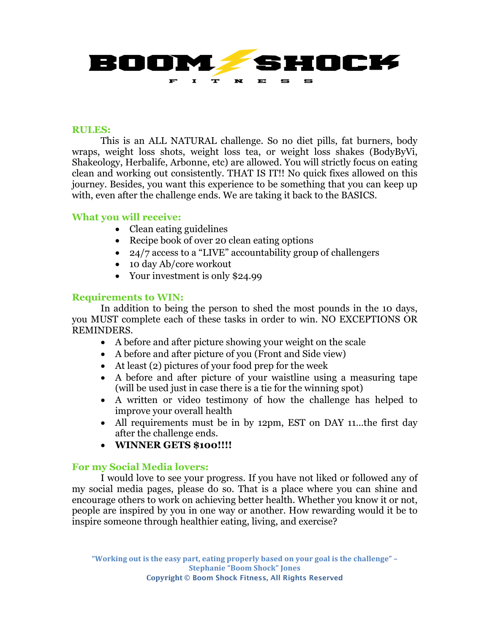

## **RULES:**

This is an ALL NATURAL challenge. So no diet pills, fat burners, body wraps, weight loss shots, weight loss tea, or weight loss shakes (BodyByVi, Shakeology, Herbalife, Arbonne, etc) are allowed. You will strictly focus on eating clean and working out consistently. THAT IS IT!! No quick fixes allowed on this journey. Besides, you want this experience to be something that you can keep up with, even after the challenge ends. We are taking it back to the BASICS.

# **What you will receive:**

- Clean eating guidelines
- Recipe book of over 20 clean eating options
- 24/7 access to a "LIVE" accountability group of challengers
- 10 day Ab/core workout
- Your investment is only \$24.99

# **Requirements to WIN:**

In addition to being the person to shed the most pounds in the 10 days, you MUST complete each of these tasks in order to win. NO EXCEPTIONS OR REMINDERS.

- A before and after picture showing your weight on the scale
- A before and after picture of you (Front and Side view)
- At least (2) pictures of your food prep for the week
- A before and after picture of your waistline using a measuring tape (will be used just in case there is a tie for the winning spot)
- A written or video testimony of how the challenge has helped to improve your overall health
- All requirements must be in by 12pm, EST on DAY 11...the first day after the challenge ends.
- **WINNER GETS \$100!!!!**

## **For my Social Media lovers:**

I would love to see your progress. If you have not liked or followed any of my social media pages, please do so. That is a place where you can shine and encourage others to work on achieving better health. Whether you know it or not, people are inspired by you in one way or another. How rewarding would it be to inspire someone through healthier eating, living, and exercise?